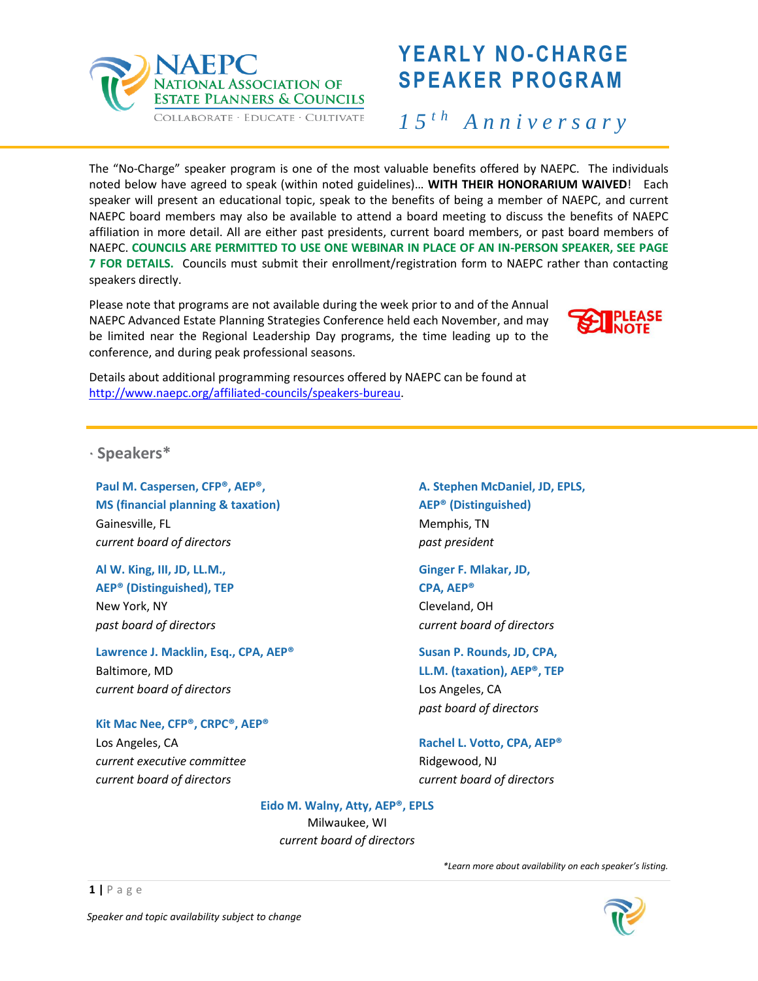

# YEARLY NO-CHARGE **SPEAKER PROGRAM**

*1 5 t h A n n i v e r s a r y*

The "No-Charge" speaker program is one of the most valuable benefits offered by NAEPC. The individuals noted below have agreed to speak (within noted guidelines)… **WITH THEIR HONORARIUM WAIVED**! Each speaker will present an educational topic, speak to the benefits of being a member of NAEPC, and current NAEPC board members may also be available to attend a board meeting to discuss the benefits of NAEPC affiliation in more detail. All are either past presidents, current board members, or past board members of NAEPC. **COUNCILS ARE PERMITTED TO USE ONE WEBINAR IN PLACE OF AN IN-PERSON SPEAKER, SEE PAGE 7 FOR DETAILS.** Councils must submit their enrollment/registration form to NAEPC rather than contacting speakers directly.

Please note that programs are not available during the week prior to and of the Annual NAEPC Advanced Estate Planning Strategies Conference held each November, and may be limited near the Regional Leadership Day programs, the time leading up to the conference, and during peak professional seasons.



Details about additional programming resources offered by NAEPC can be found at [http://www.naepc.org/affiliated-councils/speakers-bureau.](http://www.naepc.org/affiliated-councils/speakers-bureau)

# ∙ **Speakers\***

**MS (financial planning & taxation) AEP® (Distinguished)** Gainesville, FL **Memphis, TN** Memphis, TN *current board of directors past president*

# **Al W. King, III, JD, LL.M., Ginger F. Mlakar, JD, AEP® (Distinguished), TEP CPA, AEP®** New York, NY Cleveland, OH

**Lawrence J. Macklin, Esq., CPA, AEP® Susan P. Rounds, JD, CPA,** Baltimore, MD **LL.M. (taxation), AEP®, TEP** *current board of directors* Los Angeles, CA

## **Kit Mac Nee, CFP®, CRPC®, AEP®**

Los Angeles, CA **Rachel L. Votto, CPA, AEP®** *current executive committee* All a set of the Ridgewood, NJ *current board of directors current board of directors*

**Paul M. Caspersen, CFP®, AEP®, A. Stephen McDaniel, JD, EPLS,**

*past board of directors current board of directors*

*past board of directors*

## **Eido M. Walny, Atty, AEP®, EPLS**

Milwaukee, WI *current board of directors*

*\*Learn more about availability on each speaker's listing.*

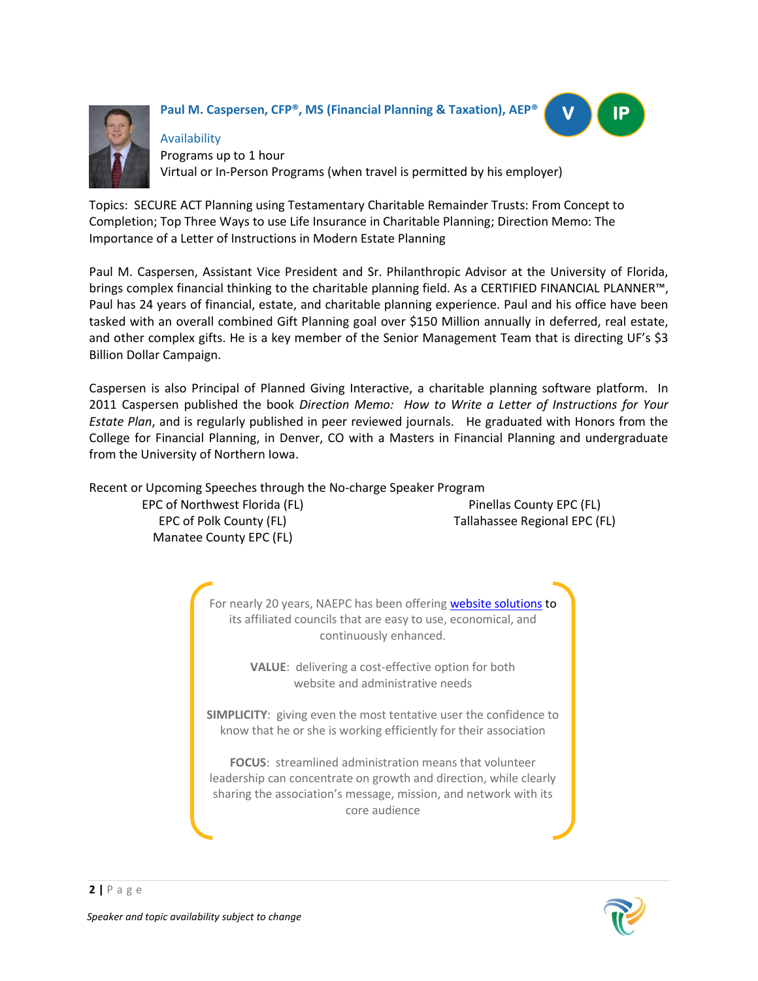**Paul M. Caspersen, CFP®, MS (Financial Planning & Taxation), AEP®**



Availability Programs up to 1 hour Virtual or In-Person Programs (when travel is permitted by his employer)

Topics: SECURE ACT Planning using Testamentary Charitable Remainder Trusts: From Concept to Completion; Top Three Ways to use Life Insurance in Charitable Planning; Direction Memo: The Importance of a Letter of Instructions in Modern Estate Planning

Paul M. Caspersen, Assistant Vice President and Sr. Philanthropic Advisor at the University of Florida, brings complex financial thinking to the charitable planning field. As a CERTIFIED FINANCIAL PLANNER™, Paul has 24 years of financial, estate, and charitable planning experience. Paul and his office have been tasked with an overall combined Gift Planning goal over \$150 Million annually in deferred, real estate, and other complex gifts. He is a key member of the Senior Management Team that is directing UF's \$3 Billion Dollar Campaign.

Caspersen is also Principal of Planned Giving Interactive, a charitable planning software platform. In 2011 Caspersen published the book *Direction Memo: How to Write a Letter of Instructions for Your Estate Plan*, and is regularly published in peer reviewed journals. He graduated with Honors from the College for Financial Planning, in Denver, CO with a Masters in Financial Planning and undergraduate from the University of Northern Iowa.

Recent or Upcoming Speeches through the No-charge Speaker Program

EPC of Northwest Florida (FL) EPC of Polk County (FL) Manatee County EPC (FL)

Pinellas County EPC (FL) Tallahassee Regional EPC (FL)

For nearly 20 years, NAEPC has been offering [website solutions](http://www.naepc.org/affiliated-councils/website-packages) to its affiliated councils that are easy to use, economical, and continuously enhanced.

> **VALUE**: delivering a cost-effective option for both website and administrative needs

**SIMPLICITY**: giving even the most tentative user the confidence to know that he or she is working efficiently for their association

**FOCUS**: streamlined administration means that volunteer leadership can concentrate on growth and direction, while clearly sharing the association's message, mission, and network with its core audience



**V IP**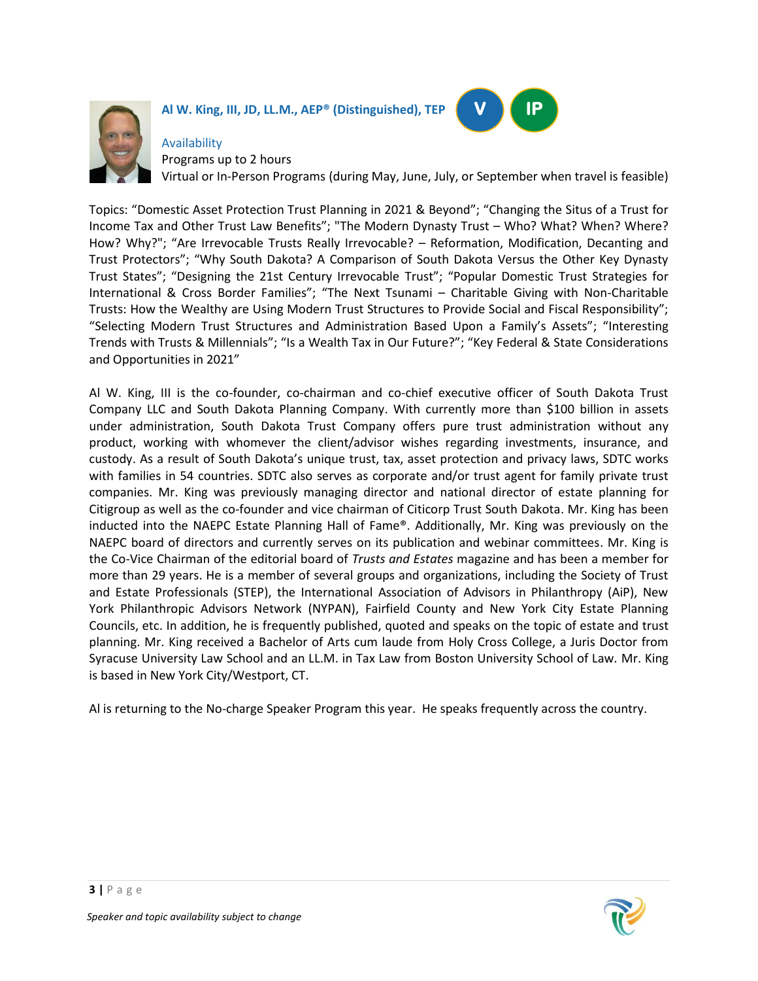

**Al W. King, III, JD, LL.M., AEP® (Distinguished), TEP**



Availability Programs up to 2 hours Virtual or In-Person Programs (during May, June, July, or September when travel is feasible)

Topics: "Domestic Asset Protection Trust Planning in 2021 & Beyond"; "Changing the Situs of a Trust for Income Tax and Other Trust Law Benefits"; "The Modern Dynasty Trust – Who? What? When? Where? How? Why?"; "Are Irrevocable Trusts Really Irrevocable? – Reformation, Modification, Decanting and Trust Protectors"; "Why South Dakota? A Comparison of South Dakota Versus the Other Key Dynasty Trust States"; "Designing the 21st Century Irrevocable Trust"; "Popular Domestic Trust Strategies for International & Cross Border Families"; "The Next Tsunami – Charitable Giving with Non-Charitable Trusts: How the Wealthy are Using Modern Trust Structures to Provide Social and Fiscal Responsibility"; "Selecting Modern Trust Structures and Administration Based Upon a Family's Assets"; "Interesting Trends with Trusts & Millennials"; "Is a Wealth Tax in Our Future?"; "Key Federal & State Considerations and Opportunities in 2021"

Al W. King, III is the co-founder, co-chairman and co-chief executive officer of South Dakota Trust Company LLC and South Dakota Planning Company. With currently more than \$100 billion in assets under administration, South Dakota Trust Company offers pure trust administration without any product, working with whomever the client/advisor wishes regarding investments, insurance, and custody. As a result of South Dakota's unique trust, tax, asset protection and privacy laws, SDTC works with families in 54 countries. SDTC also serves as corporate and/or trust agent for family private trust companies. Mr. King was previously managing director and national director of estate planning for Citigroup as well as the co-founder and vice chairman of Citicorp Trust South Dakota. Mr. King has been inducted into the NAEPC Estate Planning Hall of Fame®. Additionally, Mr. King was previously on the NAEPC board of directors and currently serves on its publication and webinar committees. Mr. King is the Co-Vice Chairman of the editorial board of *Trusts and Estates* magazine and has been a member for more than 29 years. He is a member of several groups and organizations, including the Society of Trust and Estate Professionals (STEP), the International Association of Advisors in Philanthropy (AiP), New York Philanthropic Advisors Network (NYPAN), Fairfield County and New York City Estate Planning Councils, etc. In addition, he is frequently published, quoted and speaks on the topic of estate and trust planning. Mr. King received a Bachelor of Arts cum laude from Holy Cross College, a Juris Doctor from Syracuse University Law School and an LL.M. in Tax Law from Boston University School of Law. Mr. King is based in New York City/Westport, CT.

Al is returning to the No-charge Speaker Program this year. He speaks frequently across the country.

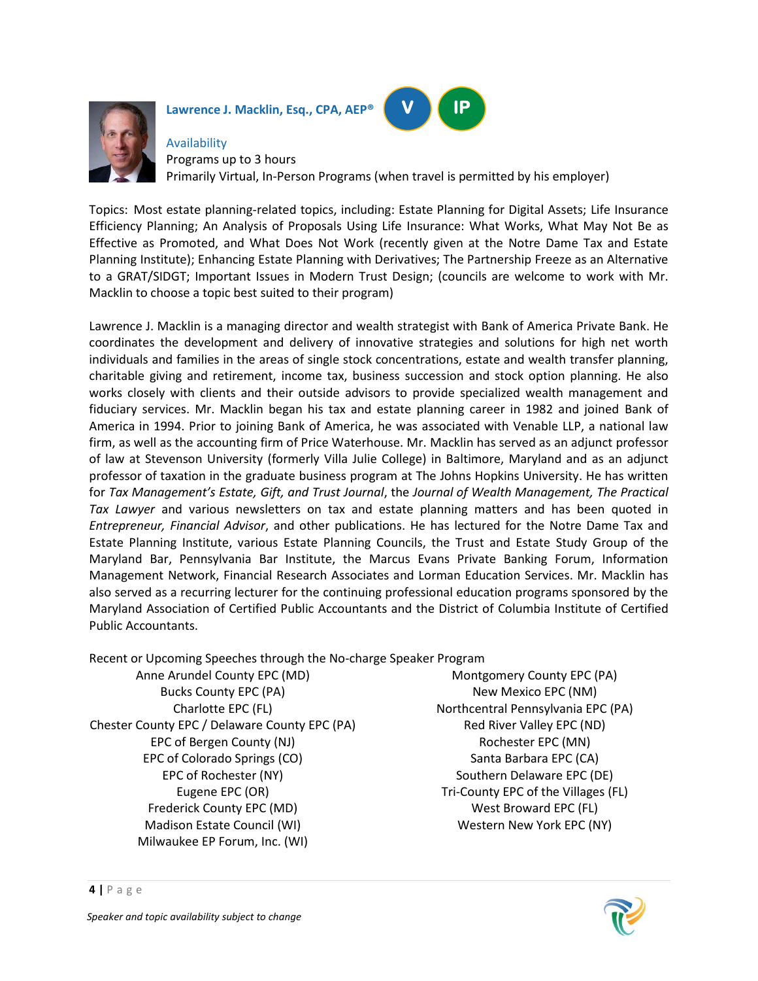

**Lawrence J. Macklin, Esq., CPA, AEP®** 



Availability Programs up to 3 hours Primarily Virtual, In-Person Programs (when travel is permitted by his employer)

Topics: Most estate planning-related topics, including: Estate Planning for Digital Assets; Life Insurance Efficiency Planning; An Analysis of Proposals Using Life Insurance: What Works, What May Not Be as Effective as Promoted, and What Does Not Work (recently given at the Notre Dame Tax and Estate Planning Institute); Enhancing Estate Planning with Derivatives; The Partnership Freeze as an Alternative to a GRAT/SIDGT; Important Issues in Modern Trust Design; (councils are welcome to work with Mr. Macklin to choose a topic best suited to their program)

Lawrence J. Macklin is a managing director and wealth strategist with Bank of America Private Bank. He coordinates the development and delivery of innovative strategies and solutions for high net worth individuals and families in the areas of single stock concentrations, estate and wealth transfer planning, charitable giving and retirement, income tax, business succession and stock option planning. He also works closely with clients and their outside advisors to provide specialized wealth management and fiduciary services. Mr. Macklin began his tax and estate planning career in 1982 and joined Bank of America in 1994. Prior to joining Bank of America, he was associated with Venable LLP, a national law firm, as well as the accounting firm of Price Waterhouse. Mr. Macklin has served as an adjunct professor of law at Stevenson University (formerly Villa Julie College) in Baltimore, Maryland and as an adjunct professor of taxation in the graduate business program at The Johns Hopkins University. He has written for *Tax Management's Estate, Gift, and Trust Journal*, the *Journal of Wealth Management, The Practical Tax Lawyer* and various newsletters on tax and estate planning matters and has been quoted in *Entrepreneur, Financial Advisor*, and other publications. He has lectured for the Notre Dame Tax and Estate Planning Institute, various Estate Planning Councils, the Trust and Estate Study Group of the Maryland Bar, Pennsylvania Bar Institute, the Marcus Evans Private Banking Forum, Information Management Network, Financial Research Associates and Lorman Education Services. Mr. Macklin has also served as a recurring lecturer for the continuing professional education programs sponsored by the Maryland Association of Certified Public Accountants and the District of Columbia Institute of Certified Public Accountants.

Recent or Upcoming Speeches through the No-charge Speaker Program

Anne Arundel County EPC (MD) Bucks County EPC (PA) Charlotte EPC (FL) Chester County EPC / Delaware County EPC (PA) EPC of Bergen County (NJ) EPC of Colorado Springs (CO) EPC of Rochester (NY) Eugene EPC (OR) Frederick County EPC (MD) Madison Estate Council (WI) Milwaukee EP Forum, Inc. (WI)

Montgomery County EPC (PA) New Mexico EPC (NM) Northcentral Pennsylvania EPC (PA) Red River Valley EPC (ND) Rochester EPC (MN) Santa Barbara EPC (CA) Southern Delaware EPC (DE) Tri-County EPC of the Villages (FL) West Broward EPC (FL) Western New York EPC (NY)

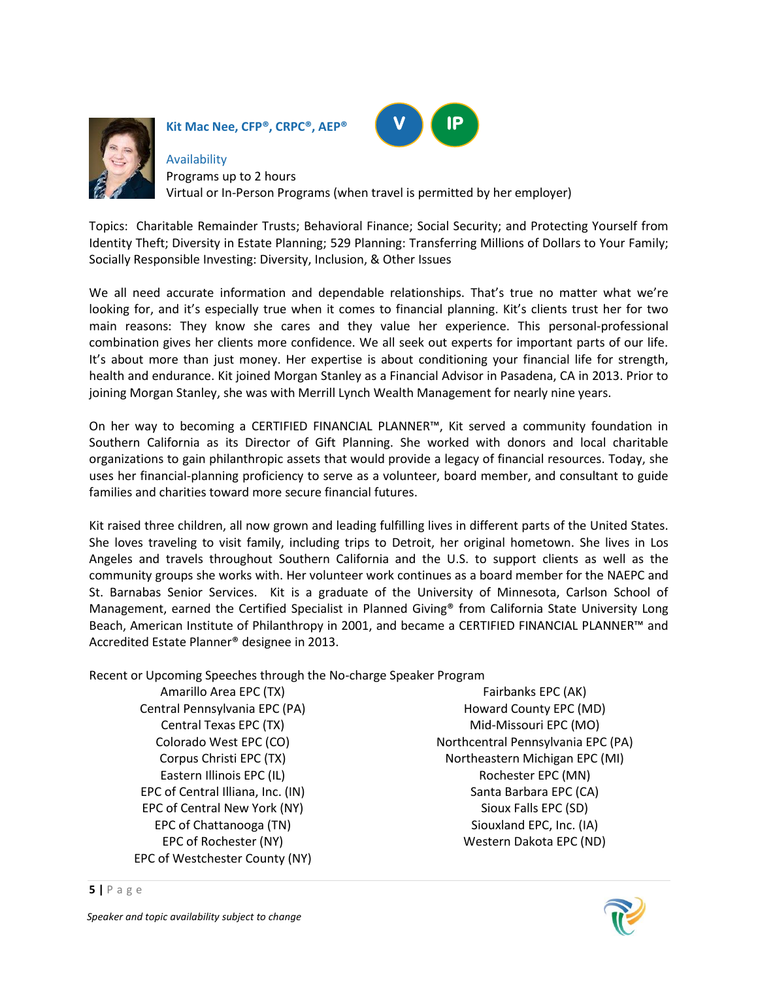

**Kit Mac Nee, CFP®, CRPC®, AEP®**



Availability Programs up to 2 hours Virtual or In-Person Programs (when travel is permitted by her employer)

Topics: Charitable Remainder Trusts; Behavioral Finance; Social Security; and Protecting Yourself from Identity Theft; Diversity in Estate Planning; 529 Planning: Transferring Millions of Dollars to Your Family; Socially Responsible Investing: Diversity, Inclusion, & Other Issues

We all need accurate information and dependable relationships. That's true no matter what we're looking for, and it's especially true when it comes to financial planning. Kit's clients trust her for two main reasons: They know she cares and they value her experience. This personal-professional combination gives her clients more confidence. We all seek out experts for important parts of our life. It's about more than just money. Her expertise is about conditioning your financial life for strength, health and endurance. Kit joined Morgan Stanley as a Financial Advisor in Pasadena, CA in 2013. Prior to joining Morgan Stanley, she was with Merrill Lynch Wealth Management for nearly nine years.

On her way to becoming a CERTIFIED FINANCIAL PLANNER™, Kit served a community foundation in Southern California as its Director of Gift Planning. She worked with donors and local charitable organizations to gain philanthropic assets that would provide a legacy of financial resources. Today, she uses her financial-planning proficiency to serve as a volunteer, board member, and consultant to guide families and charities toward more secure financial futures.

Kit raised three children, all now grown and leading fulfilling lives in different parts of the United States. She loves traveling to visit family, including trips to Detroit, her original hometown. She lives in Los Angeles and travels throughout Southern California and the U.S. to support clients as well as the community groups she works with. Her volunteer work continues as a board member for the NAEPC and St. Barnabas Senior Services. Kit is a graduate of the University of Minnesota, Carlson School of Management, earned the Certified Specialist in Planned Giving® from California State University Long Beach, American Institute of Philanthropy in 2001, and became a CERTIFIED FINANCIAL PLANNER™ and Accredited Estate Planner® designee in 2013.

Recent or Upcoming Speeches through the No-charge Speaker Program

Amarillo Area EPC (TX) Central Pennsylvania EPC (PA) Central Texas EPC (TX) Colorado West EPC (CO) Corpus Christi EPC (TX) Eastern Illinois EPC (IL) EPC of Central Illiana, Inc. (IN) EPC of Central New York (NY) EPC of Chattanooga (TN) EPC of Rochester (NY) EPC of Westchester County (NY)

Fairbanks EPC (AK) Howard County EPC (MD) Mid-Missouri EPC (MO) Northcentral Pennsylvania EPC (PA) Northeastern Michigan EPC (MI) Rochester EPC (MN) Santa Barbara EPC (CA) Sioux Falls EPC (SD) Siouxland EPC, Inc. (IA) Western Dakota EPC (ND)

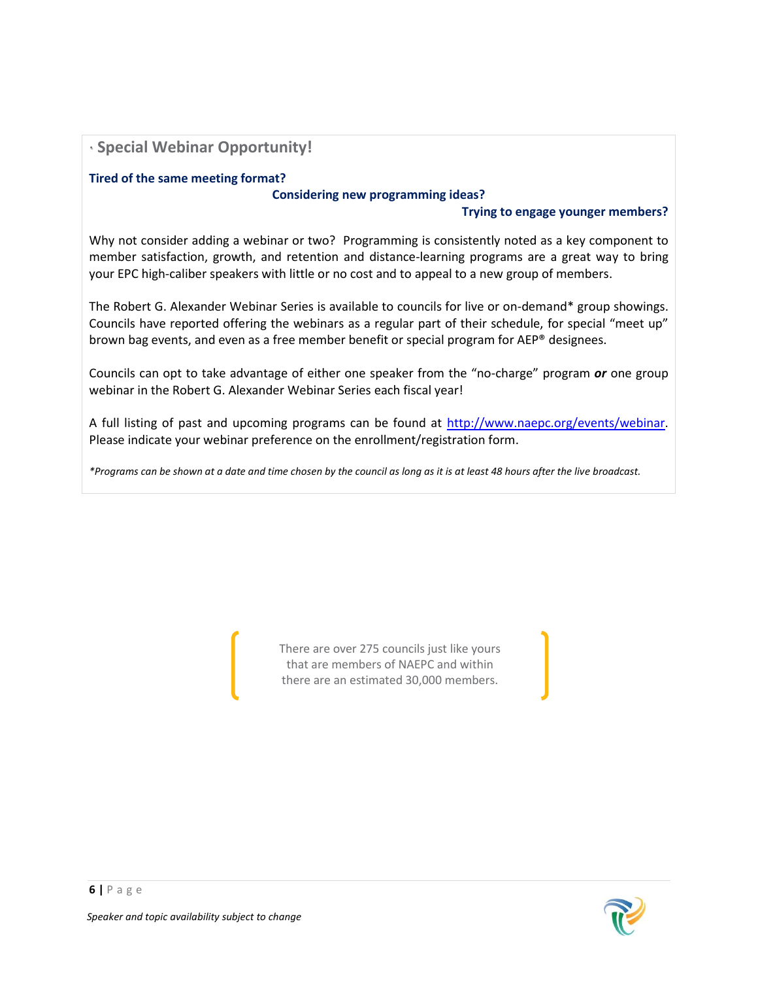# ∙ **Special Webinar Opportunity!**

### **Tired of the same meeting format?**

### **Considering new programming ideas?**

### **Trying to engage younger members?**

Why not consider adding a webinar or two? Programming is consistently noted as a key component to member satisfaction, growth, and retention and distance-learning programs are a great way to bring your EPC high-caliber speakers with little or no cost and to appeal to a new group of members.

The Robert G. Alexander Webinar Series is available to councils for live or on-demand\* group showings. Councils have reported offering the webinars as a regular part of their schedule, for special "meet up" brown bag events, and even as a free member benefit or special program for AEP® designees.

Councils can opt to take advantage of either one speaker from the "no-charge" program *or* one group webinar in the Robert G. Alexander Webinar Series each fiscal year!

A full listing of past and upcoming programs can be found at [http://www.naepc.org/events/webinar.](http://www.naepc.org/events/webinar) Please indicate your webinar preference on the enrollment/registration form.

*\*Programs can be shown at a date and time chosen by the council as long as it is at least 48 hours after the live broadcast.*

There are over 275 councils just like yours that are members of NAEPC and within there are an estimated 30,000 members.

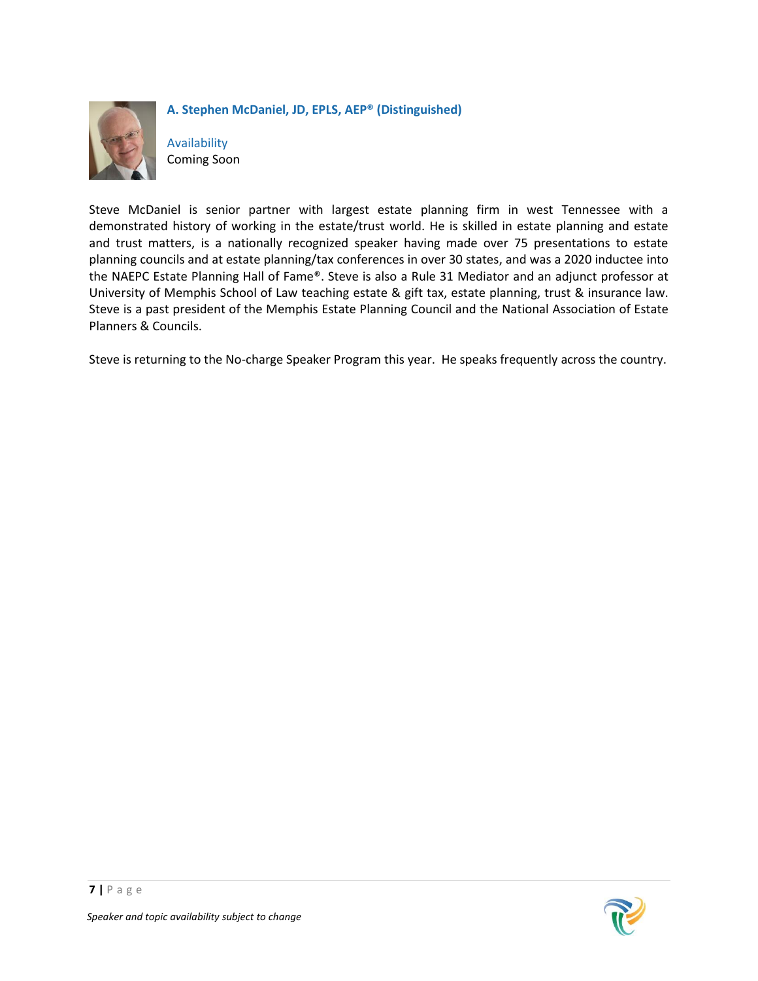

## **A. Stephen McDaniel, JD, EPLS, AEP® (Distinguished)**

Availability Coming Soon

Steve McDaniel is senior partner with largest estate planning firm in west Tennessee with a demonstrated history of working in the estate/trust world. He is skilled in estate planning and estate and trust matters, is a nationally recognized speaker having made over 75 presentations to estate planning councils and at estate planning/tax conferences in over 30 states, and was a 2020 inductee into the NAEPC Estate Planning Hall of Fame®. Steve is also a Rule 31 Mediator and an adjunct professor at University of Memphis School of Law teaching estate & gift tax, estate planning, trust & insurance law. Steve is a past president of the Memphis Estate Planning Council and the National Association of Estate Planners & Councils.

Steve is returning to the No-charge Speaker Program this year. He speaks frequently across the country.

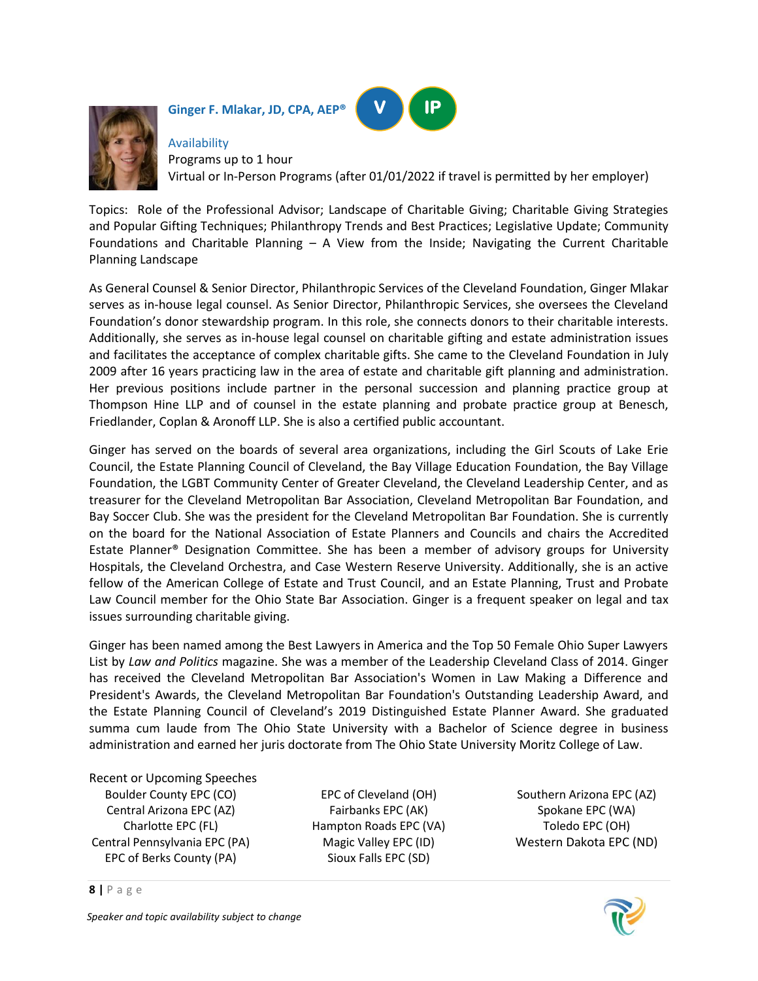

**Ginger F. Mlakar, JD, CPA, AEP®**



Availability Programs up to 1 hour Virtual or In-Person Programs (after 01/01/2022 if travel is permitted by her employer)

Topics: Role of the Professional Advisor; Landscape of Charitable Giving; Charitable Giving Strategies and Popular Gifting Techniques; Philanthropy Trends and Best Practices; Legislative Update; Community Foundations and Charitable Planning – A View from the Inside; Navigating the Current Charitable Planning Landscape

As General Counsel & Senior Director, Philanthropic Services of the Cleveland Foundation, Ginger Mlakar serves as in-house legal counsel. As Senior Director, Philanthropic Services, she oversees the Cleveland Foundation's donor stewardship program. In this role, she connects donors to their charitable interests. Additionally, she serves as in-house legal counsel on charitable gifting and estate administration issues and facilitates the acceptance of complex charitable gifts. She came to the Cleveland Foundation in July 2009 after 16 years practicing law in the area of estate and charitable gift planning and administration. Her previous positions include partner in the personal succession and planning practice group at Thompson Hine LLP and of counsel in the estate planning and probate practice group at Benesch, Friedlander, Coplan & Aronoff LLP. She is also a certified public accountant.

Ginger has served on the boards of several area organizations, including the Girl Scouts of Lake Erie Council, the Estate Planning Council of Cleveland, the Bay Village Education Foundation, the Bay Village Foundation, the LGBT Community Center of Greater Cleveland, the Cleveland Leadership Center, and as treasurer for the Cleveland Metropolitan Bar Association, Cleveland Metropolitan Bar Foundation, and Bay Soccer Club. She was the president for the Cleveland Metropolitan Bar Foundation. She is currently on the board for the National Association of Estate Planners and Councils and chairs the Accredited Estate Planner® Designation Committee. She has been a member of advisory groups for University Hospitals, the Cleveland Orchestra, and Case Western Reserve University. Additionally, she is an active fellow of the American College of Estate and Trust Council, and an Estate Planning, Trust and Probate Law Council member for the Ohio State Bar Association. Ginger is a frequent speaker on legal and tax issues surrounding charitable giving.

Ginger has been named among the Best Lawyers in America and the Top 50 Female Ohio Super Lawyers List by *Law and Politics* magazine. She was a member of the Leadership Cleveland Class of 2014. Ginger has received the Cleveland Metropolitan Bar Association's Women in Law Making a Difference and President's Awards, the Cleveland Metropolitan Bar Foundation's Outstanding Leadership Award, and the Estate Planning Council of Cleveland's 2019 Distinguished Estate Planner Award. She graduated summa cum laude from The Ohio State University with a Bachelor of Science degree in business administration and earned her juris doctorate from The Ohio State University Moritz College of Law.

Recent or Upcoming Speeches

Boulder County EPC (CO) Central Arizona EPC (AZ) Charlotte EPC (FL) Central Pennsylvania EPC (PA) EPC of Berks County (PA)

EPC of Cleveland (OH) Fairbanks EPC (AK) Hampton Roads EPC (VA) Magic Valley EPC (ID) Sioux Falls EPC (SD)

Southern Arizona EPC (AZ) Spokane EPC (WA) Toledo EPC (OH) Western Dakota EPC (ND)

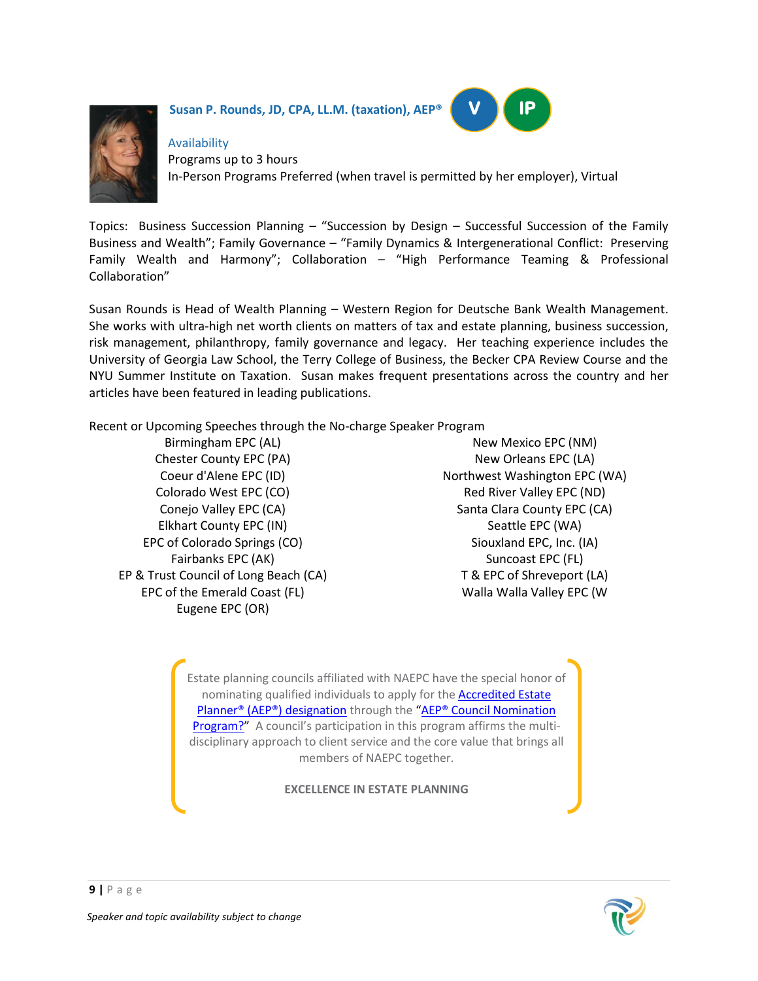Susan P. Rounds, JD, CPA, LL.M. (taxation), AEP<sup>®</sup>



Availability Programs up to 3 hours In-Person Programs Preferred (when travel is permitted by her employer), Virtual

Topics: Business Succession Planning – "Succession by Design – Successful Succession of the Family Business and Wealth"; Family Governance – "Family Dynamics & Intergenerational Conflict: Preserving Family Wealth and Harmony"; Collaboration – "High Performance Teaming & Professional Collaboration"

Susan Rounds is Head of Wealth Planning – Western Region for Deutsche Bank Wealth Management. She works with ultra-high net worth clients on matters of tax and estate planning, business succession, risk management, philanthropy, family governance and legacy. Her teaching experience includes the University of Georgia Law School, the Terry College of Business, the Becker CPA Review Course and the NYU Summer Institute on Taxation. Susan makes frequent presentations across the country and her articles have been featured in leading publications.

Recent or Upcoming Speeches through the No-charge Speaker Program

Birmingham EPC (AL) Chester County EPC (PA) Coeur d'Alene EPC (ID) Colorado West EPC (CO) Conejo Valley EPC (CA) Elkhart County EPC (IN) EPC of Colorado Springs (CO) Fairbanks EPC (AK) EP & Trust Council of Long Beach (CA) EPC of the Emerald Coast (FL) Eugene EPC (OR)

New Mexico EPC (NM) New Orleans EPC (LA) Northwest Washington EPC (WA) Red River Valley EPC (ND) Santa Clara County EPC (CA) Seattle EPC (WA) Siouxland EPC, Inc. (IA) Suncoast EPC (FL) T & EPC of Shreveport (LA) Walla Walla Valley EPC (W

**V IP** 

Estate planning councils affiliated with NAEPC have the special honor of nominating qualified individuals to apply for the **Accredited Estate** [Planner® \(AEP®\) designation](http://www.naepc.org/AEP) through the "[AEP® Council Nomination](http://www.naepc.org/affiliated-councils/council-nominated-aep-program)  [Program?](http://www.naepc.org/affiliated-councils/council-nominated-aep-program)" A council's participation in this program affirms the multidisciplinary approach to client service and the core value that brings all members of NAEPC together.

**EXCELLENCE IN ESTATE PLANNING** 

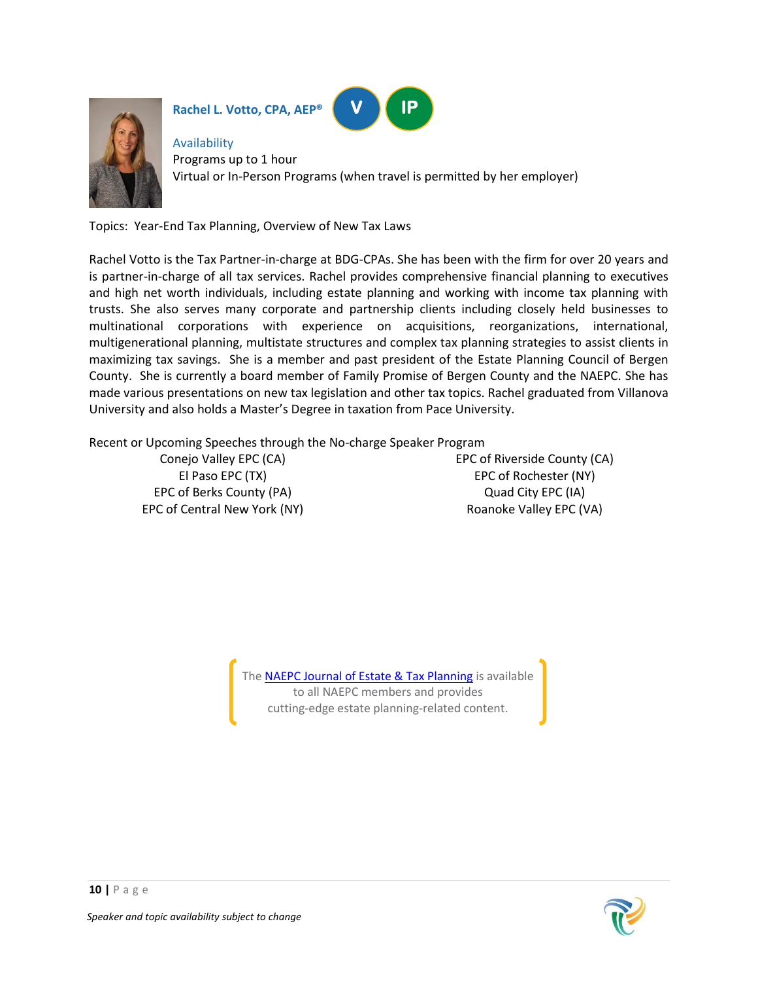

**Rachel L. Votto, CPA, AEP®**



Availability Programs up to 1 hour Virtual or In-Person Programs (when travel is permitted by her employer)

Topics: Year-End Tax Planning, Overview of New Tax Laws

Rachel Votto is the Tax Partner-in-charge at BDG-CPAs. She has been with the firm for over 20 years and is partner-in-charge of all tax services. Rachel provides comprehensive financial planning to executives and high net worth individuals, including estate planning and working with income tax planning with trusts. She also serves many corporate and partnership clients including closely held businesses to multinational corporations with experience on acquisitions, reorganizations, international, multigenerational planning, multistate structures and complex tax planning strategies to assist clients in maximizing tax savings. She is a member and past president of the Estate Planning Council of Bergen County. She is currently a board member of Family Promise of Bergen County and the NAEPC. She has made various presentations on new tax legislation and other tax topics. Rachel graduated from Villanova University and also holds a Master's Degree in taxation from Pace University.

Recent or Upcoming Speeches through the No-charge Speaker Program

Conejo Valley EPC (CA) El Paso EPC (TX) EPC of Berks County (PA) EPC of Central New York (NY) EPC of Riverside County (CA) EPC of Rochester (NY) Quad City EPC (IA) Roanoke Valley EPC (VA)

The [NAEPC Journal of Estate & Tax Planning](http://www.naepcjournal.org/) is available to all NAEPC members and provides cutting-edge estate planning-related content.

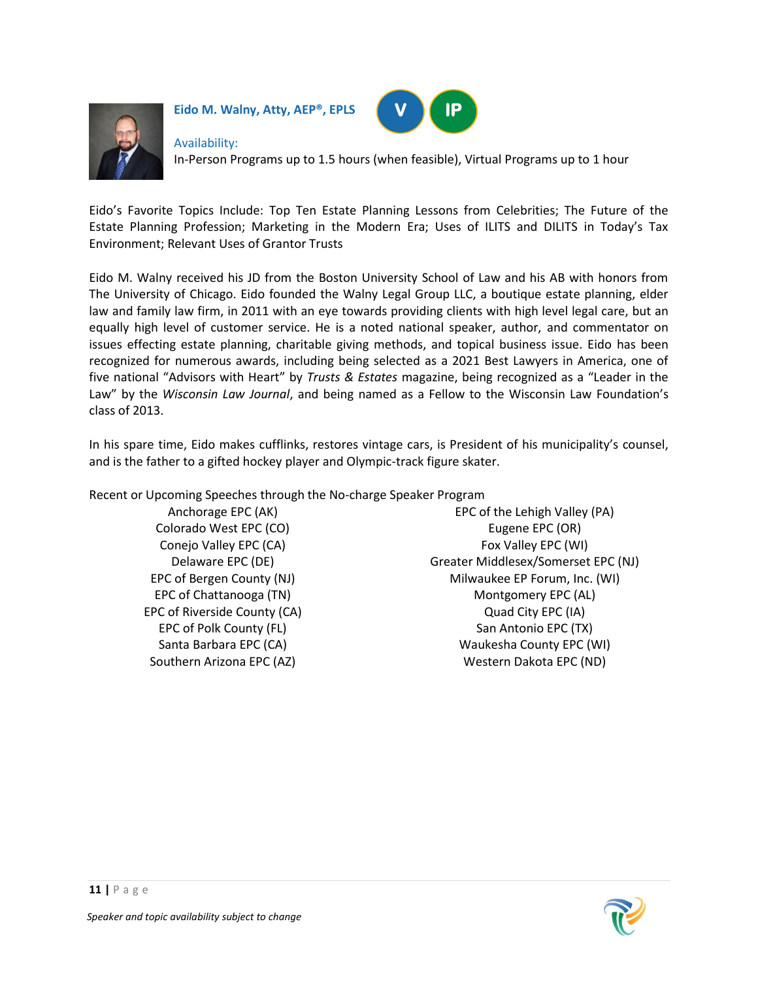

**Eido M. Walny, Atty, AEP®, EPLS** 



Availability: In-Person Programs up to 1.5 hours (when feasible), Virtual Programs up to 1 hour

Eido's Favorite Topics Include: Top Ten Estate Planning Lessons from Celebrities; The Future of the Estate Planning Profession; Marketing in the Modern Era; Uses of ILITS and DILITS in Today's Tax Environment; Relevant Uses of Grantor Trusts

Eido M. Walny received his JD from the Boston University School of Law and his AB with honors from The University of Chicago. Eido founded the Walny Legal Group LLC, a boutique estate planning, elder law and family law firm, in 2011 with an eye towards providing clients with high level legal care, but an equally high level of customer service. He is a noted national speaker, author, and commentator on issues effecting estate planning, charitable giving methods, and topical business issue. Eido has been recognized for numerous awards, including being selected as a 2021 Best Lawyers in America, one of five national "Advisors with Heart" by *Trusts & Estates* magazine, being recognized as a "Leader in the Law" by the *Wisconsin Law Journal*, and being named as a Fellow to the Wisconsin Law Foundation's class of 2013.

In his spare time, Eido makes cufflinks, restores vintage cars, is President of his municipality's counsel, and is the father to a gifted hockey player and Olympic-track figure skater.

Recent or Upcoming Speeches through the No-charge Speaker Program

Anchorage EPC (AK) Colorado West EPC (CO) Conejo Valley EPC (CA) Delaware EPC (DE) EPC of Bergen County (NJ) EPC of Chattanooga (TN) EPC of Riverside County (CA) EPC of Polk County (FL) Santa Barbara EPC (CA) Southern Arizona EPC (AZ)

EPC of the Lehigh Valley (PA) Eugene EPC (OR) Fox Valley EPC (WI) Greater Middlesex/Somerset EPC (NJ) Milwaukee EP Forum, Inc. (WI) Montgomery EPC (AL) Quad City EPC (IA) San Antonio EPC (TX) Waukesha County EPC (WI) Western Dakota EPC (ND)

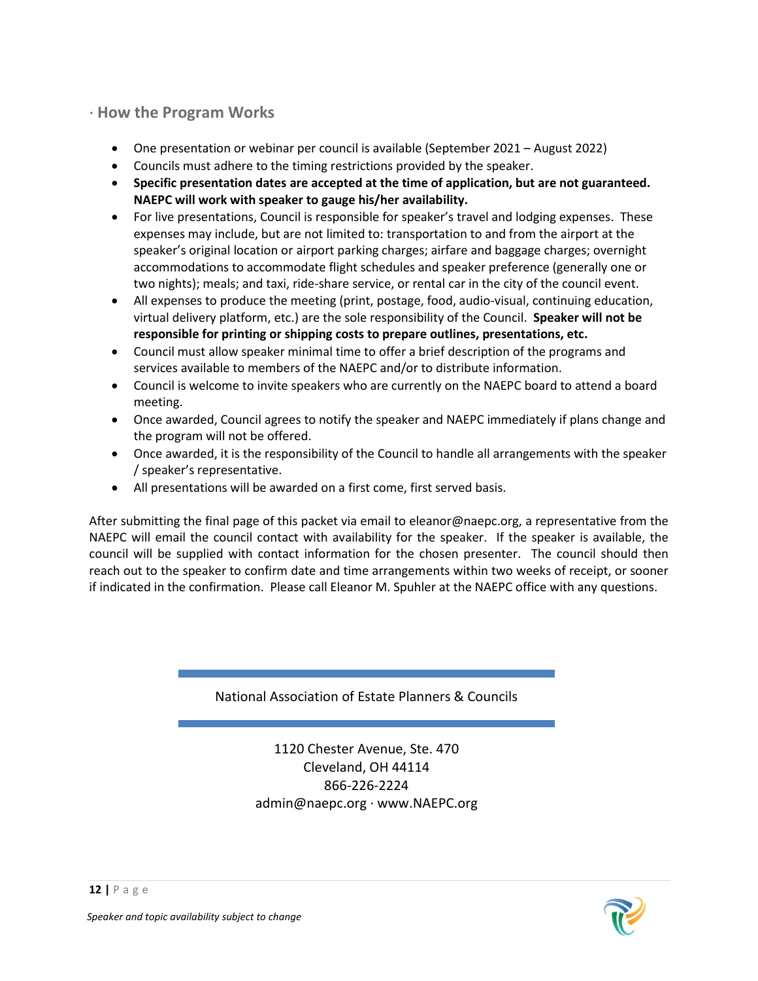# ∙ **How the Program Works**

- One presentation or webinar per council is available (September 2021 August 2022)
- Councils must adhere to the timing restrictions provided by the speaker.
- **Specific presentation dates are accepted at the time of application, but are not guaranteed. NAEPC will work with speaker to gauge his/her availability.**
- For live presentations, Council is responsible for speaker's travel and lodging expenses. These expenses may include, but are not limited to: transportation to and from the airport at the speaker's original location or airport parking charges; airfare and baggage charges; overnight accommodations to accommodate flight schedules and speaker preference (generally one or two nights); meals; and taxi, ride-share service, or rental car in the city of the council event.
- All expenses to produce the meeting (print, postage, food, audio-visual, continuing education, virtual delivery platform, etc.) are the sole responsibility of the Council. **Speaker will not be responsible for printing or shipping costs to prepare outlines, presentations, etc.**
- Council must allow speaker minimal time to offer a brief description of the programs and services available to members of the NAEPC and/or to distribute information.
- Council is welcome to invite speakers who are currently on the NAEPC board to attend a board meeting.
- Once awarded, Council agrees to notify the speaker and NAEPC immediately if plans change and the program will not be offered.
- Once awarded, it is the responsibility of the Council to handle all arrangements with the speaker / speaker's representative.
- All presentations will be awarded on a first come, first served basis.

After submitting the final page of this packet via email to eleanor@naepc.org, a representative from the NAEPC will email the council contact with availability for the speaker. If the speaker is available, the council will be supplied with contact information for the chosen presenter. The council should then reach out to the speaker to confirm date and time arrangements within two weeks of receipt, or sooner if indicated in the confirmation. Please call Eleanor M. Spuhler at the NAEPC office with any questions.

National Association of Estate Planners & Councils

1120 Chester Avenue, Ste. 470 Cleveland, OH 44114 866-226-2224 admin@naepc.org ∙ www.NAEPC.org